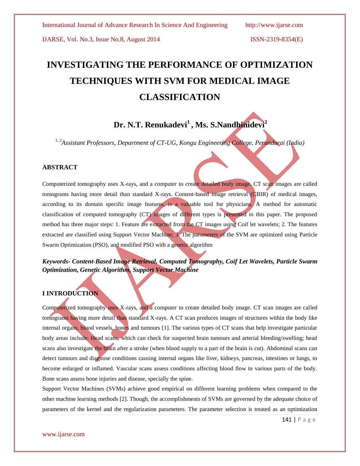# **INVESTIGATING THE PERFORMANCE OF OPTIMIZATION TECHNIQUES WITH SVM FOR MEDICAL IMAGE CLASSIFICATION**

## **Dr. N.T. Renukadevi<sup>1</sup> , Ms. S.Nandhinidevi<sup>2</sup>**

*1, 2Assistant Professors, Department of CT-UG, Kongu Engineering College, Perundurai (India)*

#### **ABSTRACT**

Computerized tomography uses X-rays, and a computer to create detailed body image. CT scan images are called tomograms having more detail than standard X-rays. Content-based image retrieval (CBIR) of medical images, according to its domain specific image features, is a valuable tool for physicians. A method for automatic classification of computed tomography (CT) images of different types is presented in this paper. The proposed method has three major steps: 1. Feature are extracted from the CT images using Coif let wavelets; 2. The features extracted are classified using Support Vector Machine; 3. The parameters of the SVM are optimized using Particle Swarm Optimization (PSO), and modified PSO with a genetic algorithm

## *Keywords- Content-Based Image Retrieval, Computed Tomography, Coif Let Wavelets, Particle Swarm Optimization, Genetic Algorithm, Support Vector Machine*

### **I INTRODUCTION**

Computerized tomography uses X-rays, and a computer to create detailed body image. CT scan images are called tomograms having more detail than standard X-rays. A CT scan produces images of structures within the body like internal organs, blood vessels, bones and tumours [1]. The various types of CT scans that help investigate particular body areas include: Head scans, which can check for suspected brain tumours and arterial bleeding/swelling; head scans also investigate the brain after a stroke (when blood supply to a part of the brain is cut). Abdominal scans can detect tumours and diagnose conditions causing internal organs like liver, kidneys, pancreas, intestines or lungs, to become enlarged or inflamed. Vascular scans assess conditions affecting blood flow to various parts of the body. Bone scans assess bone injuries and disease, specially the spine.

Support Vector Machines (SVMs) achieve good empirical on different learning problems when compared to the other machine learning methods [2]. Though, the accomplishments of SVMs are governed by the adequate choice of parameters of the kernel and the regularization parameters. The parameter selection is treated as an optimization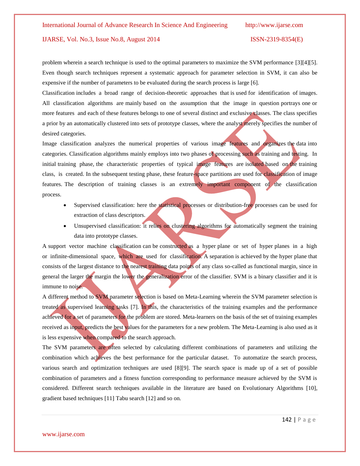problem wherein a search technique is used to the optimal parameters to maximize the SVM performance [3][4][5]. Even though search techniques represent a systematic approach for parameter selection in SVM, it can also be expensive if the number of parameters to be evaluated during the search process is large [6].

Classification includes a broad range of decision-theoretic approaches that is used for identification of images. All classification algorithms are mainly based on the assumption that the image in question portrays one or more features and each of these features belongs to one of several distinct and exclusive classes. The class specifies a prior by an automatically clustered into sets of prototype classes, where the analyst merely specifies the number of desired categories.

Image classification analyzes the numerical properties of various image features and organizes the data into categories. Classification algorithms mainly employs into two phases of processing such as training and testing. In initial training phase, the characteristic properties of typical image features are isolated based on the training class, is created. In the subsequent testing phase, these feature-space partitions are used for classification of image features. The description of training classes is an extremely important component of the classification process.

- Supervised classification: here the statistical processes or distribution-free processes can be used for extraction of class descriptors.
- Unsupervised classification: it relies on clustering algorithms for automatically segment the training data into prototype classes.

A support vector machine classification can be constructed as a hyper plane or set of hyper planes in a high or infinite-dimensional space, which are used for classification. A separation is achieved by the hyper plane that consists of the largest distance to the nearest training data points of any class so-called as functional margin, since in general the larger the margin the lower the generalization error of the classifier. SVM is a binary classifier and it is immune to noise.

A different method to SVM parameter selection is based on Meta-Learning wherein the SVM parameter selection is treated as supervised learning tasks [7]. In this, the characteristics of the training examples and the performance achieved for a set of parameters for the problem are stored. Meta-learners on the basis of the set of training examples received as input, predicts the best values for the parameters for a new problem. The Meta-Learning is also used as it is less expensive when compared to the search approach.

The SVM parameters are often selected by calculating different combinations of parameters and utilizing the combination which achieves the best performance for the particular dataset. To automatize the search process, various search and optimization techniques are used [8][9]. The search space is made up of a set of possible combination of parameters and a fitness function corresponding to performance measure achieved by the SVM is considered. Different search techniques available in the literature are based on Evolutionary Algorithms [10], gradient based techniques [11] Tabu search [12] and so on.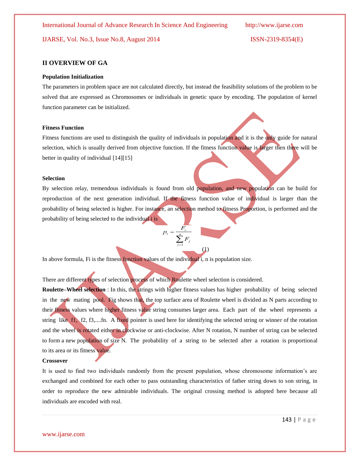#### **II OVERVIEW OF GA**

#### **Population Initialization**

The parameters in problem space are not calculated directly, but instead the feasibility solutions of the problem to be solved that are expressed as Chromosomes or individuals in genetic space by encoding. The population of kernel function parameter can be initialized.

#### **Fitness Function**

Fitness functions are used to distinguish the quality of individuals in population and it is the only guide for natural selection, which is usually derived from objective function. If the fitness function value is larger then there will be better in quality of individual [14][15]

#### **Selection**

By selection relay, tremendous individuals is found from old population, and new population can be build for reproduction of the next generation individual. If the fitness function value of individual is larger than the probability of being selected is higher. For instance, an selection method to fitness Proportion, is performed and the probability of being selected to the individual i is

 $p_i = \frac{F_i}{\sum_{j=1}^n F_j}$ 

(1)

In above formula, Fi is the fitness function values of the individual i, n is population size.

There are different types of selection process of which Roulette wheel selection is considered.

**Roulette–Wheel selection** : In this, the strings with higher fitness values has higher probability of being selected in the new mating pool. Fig shows that, the top surface area of Roulette wheel is divided as N parts according to their fitness values where higher fitness value string consumes larger area. Each part of the wheel represents a string like f1, f2, f3,....fn. A fixed pointer is used here for identifying the selected string or winner of the rotation and the wheel is rotated either in clockwise or anti-clockwise. After N rotation, N number of string can be selected to form a new population of size N. The probability of a string to be selected after a rotation is proportional to its area or its fitness value.

#### **Crossover**

It is used to find two individuals randomly from the present population, whose chromosome information"s are exchanged and combined for each other to pass outstanding characteristics of father string down to son string, in order to reproduce the new admirable individuals. The original crossing method is adopted here because all individuals are encoded with real.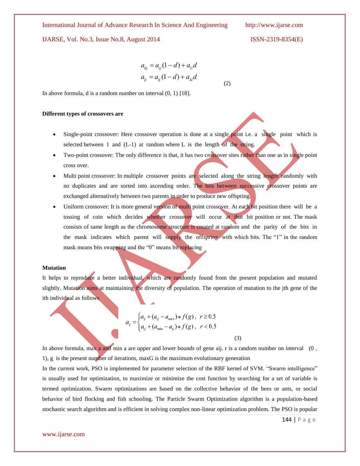International Journal of Advance Research In Science And Engineering http://www.ijarse.com

## IJARSE, Vol. No.3, Issue No.8, August 2014 ISSN-2319-8354(E)

$$
155N-2319-8334(E)
$$

$$
a_{kj} = a_{ij}(1-d) + a_{li}d
$$
  

$$
a_{lj} = a_{lj}(1-d) + a_{ki}d
$$

(2)

In above formula, d is a random number on interval (0, 1) [18].

#### **Different types of crossovers are**

- Single-point crossover: Here crossover operation is done at a single point i.e. a single point which is selected between 1 and  $(L-1)$  at random where L is the length of the string.
- Two-point crossover: The only difference is that, it has two crossover sites rather than one as in single point cross over.
- Multi point crossover: In multiple crossover points are selected along the string length randomly with no duplicates and are sorted into ascending order. The bits between successive crossover points are exchanged alternatively between two parents in order to produce new offspring.
- Uniform crossover: It is more general version of multi point crossover. At each bit position there will be a tossing of coin which decides whether crossover will occur at that bit position or not. The mask consists of same length as the chromosome structure is created at random and the parity of the bits in the mask indicates which parent will supply the offspring with which bits. The "1" in the random mask means bits swapping and the "0" means bit replacing

#### **Mutation**

It helps to reproduce a better individual, which are randomly found from the present population and mutated slightly. Mutation aims at maintaining the diversity of population. The operation of mutation to the jth gene of the ith individual as follows

$$
a_{ij} = \begin{cases} a_{ij} + (a_{ij} - a_{\text{max}}) * f(g), & r \ge 0.5 \\ a_{ij} + (a_{\text{min}} - a_{ij}) * f(g), & r < 0.5 \end{cases}
$$

In above formula, max a and min a are upper and lower bounds of gene aij. r is a random number on interval (0, 1), g is the present number of iterations, maxG is the maximum evolutionary generation

(3)

In the current work, PSO is implemented for parameter selection of the RBF kernel of SVM. "Swarm intelligence" is usually used for optimization, to maximize or minimize the cost function by searching for a set of variable is termed optimization. Swarm optimizations are based on the collective behavior of the bees or ants, or social behavior of bird flocking and fish schooling. The Particle Swarm Optimization algorithm is a population-based stochastic search algorithm and is efficient in solving complex non-linear optimization problem. The PSO is popular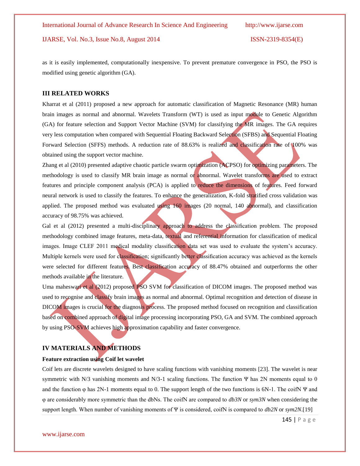as it is easily implemented, computationally inexpensive. To prevent premature convergence in PSO, the PSO is modified using genetic algorithm (GA).

#### **III RELATED WORKS**

Kharrat et al (2011) proposed a new approach for automatic classification of Magnetic Resonance (MR) human brain images as normal and abnormal. Wavelets Transform (WT) is used as input module to Genetic Algorithm (GA) for feature selection and Support Vector Machine (SVM) for classifying the MR images. The GA requires very less computation when compared with Sequential Floating Backward Selection (SFBS) and Sequential Floating Forward Selection (SFFS) methods. A reduction rate of 88.63% is realized and classification rate of 100% was obtained using the support vector machine.

Zhang et al (2010) presented adaptive chaotic particle swarm optimization (ACPSO) for optimizing parameters. The methodology is used to classify MR brain image as normal or abnormal. Wavelet transforms are used to extract features and principle component analysis (PCA) is applied to reduce the dimensions of features. Feed forward neural network is used to classify the features. To enhance the generalization, K-fold stratified cross validation was applied. The proposed method was evaluated using  $160$  images (20 normal, 140 abnormal), and classification accuracy of 98.75% was achieved.

Gal et al (2012) presented a multi-disciplinary approach to address the classification problem. The proposed methodology combined image features, meta-data, textual and referential information for classification of medical images. Image CLEF 2011 medical modality classification data set was used to evaluate the system's accuracy. Multiple kernels were used for classification; significantly better classification accuracy was achieved as the kernels were selected for different features. Best classification accuracy of 88.47% obtained and outperforms the other methods available in the literature.

Uma maheswari et al (2012) proposed PSO SVM for classification of DICOM images. The proposed method was used to recognise and classify brain images as normal and abnormal. Optimal recognition and detection of disease in DICOM images is crucial for the diagnosis process. The proposed method focused on recognition and classification based on combined approach of digital image processing incorporating PSO, GA and SVM. The combined approach by using PSO-SVM achieves high approximation capability and faster convergence.

#### **IV MATERIALS AND METHODS**

#### **Feature extraction using Coif let wavelet**

Coif lets are discrete wavelets designed to have scaling functions with vanishing moments [23]. The wavelet is near symmetric with N/3 vanishing moments and N/3-1 scaling functions. The function Ψ has 2N moments equal to 0 and the function  $\varphi$  has 2N-1 moments equal to 0. The support length of the two functions is 6N-1. The coifN  $\Psi$  and φ are considerably more symmetric than the dbNs. The coifN are compared to *db3N* or *sym3N* when considering the support length. When number of vanishing moments of Ψ is considered, coifN is compared to *db2N* or *sym2N*.[19]

145 | P a g e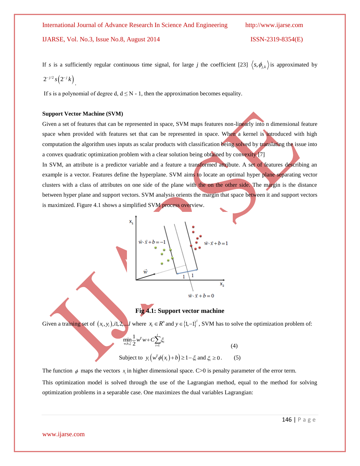www.ijarse.com

If s is a sufficiently regular continuous time signal, for large j the coefficient [23] 
$$
\langle s, \phi_{j,k} \rangle
$$
 is approximated by  $2^{-j/2} s(2^{-j} k)$ .

If s is a polynomial of degree d,  $d \leq N - 1$ , then the approximation becomes equality.

#### **Support Vector Machine (SVM)**

Given a set of features that can be represented in space, SVM maps features non-linearly into n dimensional feature space when provided with features set that can be represented in space. When a kernel is introduced with high computation the algorithm uses inputs as scalar products with classification being solved by translating the issue into a convex quadratic optimization problem with a clear solution being obtained by convexity [7]

In SVM, an attribute is a predictor variable and a feature a transformed attribute. A set of features describing an example is a vector. Features define the hyperplane. SVM aims to locate an optimal hyper plane separating vector clusters with a class of attributes on one side of the plane with the on the other side. The margin is the distance between hyper plane and support vectors. SVM analysis orients the margin that space between it and support vectors is maximized. Figure 4.1 shows a simplified SVM process overview.

## **Fig 4.1: Support vector machine**

Given a training set of  $(x_i, y_i)$ , *i*,  $2, \ldots$ *l* where  $x_i \in R^n$  and  $y \in \{1, -1\}^l$ , SVM has to solve the optimization problem of:

$$
\min_{w,b,\xi} \frac{1}{2} w^T w + C \sum_{i=1}^l \xi_i
$$
 (4)

$$
\text{Subject to } y_i \big( w^T \phi(x_i) + b \big) \ge 1 - \xi_i \text{ and } \xi_i \ge 0. \tag{5}
$$

The function  $\phi$  maps the vectors  $x_i$  in higher dimensional space. C>0 is penalty parameter of the error term.

This optimization model is solved through the use of the Lagrangian method, equal to the method for solving optimization problems in a separable case. One maximizes the dual variables Lagrangian:

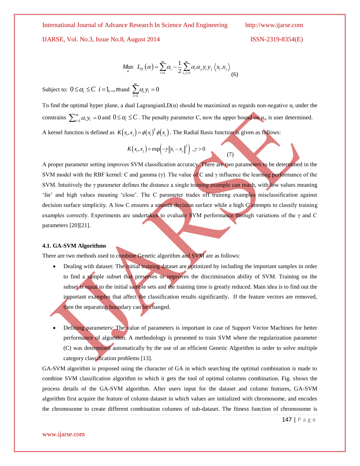International Journal of Advance Research In Science And Engineering http://www.ijarse.com

IJARSE, Vol. No.3, Issue No.8, August 2014

$$
ISSN-2319-8354(E)
$$

$$
Max_{\alpha} L_{D}(\alpha) = \sum_{i=1}^{m} \alpha_{i} - \frac{1}{2} \sum_{i,j=1}^{m} \alpha_{i} \alpha_{j} y_{i} y_{j} \left\langle x_{i} . x_{j} \right\rangle
$$
\n(6)

Subject to:  $0 \leq \alpha_i \leq C$  *i* = 1,.., *m* and 1  $\sum_{i=1}^{m} \alpha_i y_i = 0$  $\sum_{i=1}^{\infty} a_i y_i$  $\alpha$ <sub>i</sub> y  $\sum_{i=1}^{\infty} \alpha_i y_i =$ 

To find the optimal hyper plane, a dual LagrangianLD( $\alpha$ ) should be maximized as regards non-negative  $\alpha_i$  under the constrains  $\sum_{i=1}^{m} \alpha_i y_i = 0$  $\sum_{i=1}^{m} \alpha_i y_i = 0$  and  $0 \le \alpha_i \le C$ . The penalty parameter C, now the upper bound on  $\alpha_i$ , is user determined. A kernel function is defined as  $K(x_i, x_j) = \phi(x_i)^T \phi(x_j)$ . The Radial Basis function is given as follows:

(7)

$$
K(x_i, x_j) = \exp\left(-\gamma \|x_i - x_j\|^2\right), \gamma > 0
$$

**Maximum Maximum Maximum Maximum Maximum Maximum Maximum Theorem Constraints**  $\sum_{i=1}^{m} \alpha_i y_i = 0$  **and**  $0 \le \alpha_i \le C$ **. The p<br>
A kernel function is defined as**  $K(x_i, x_j) = \phi(x_i)$ **<br>
A kernel function is defined as**  $K(x_i, x_j) = \phi(x_i)$ **<br>** A proper parameter setting improves SVM classification accuracy. There are two parameters to be determined in the SVM model with the RBF kernel: C and gamma (γ). The value of C and γ influence the learning performance of the SVM. Intuitively the  $\gamma$  parameter defines the distance a single training example can reach, with low values meaning "far" and high values meaning "close". The C parameter trades off training examples misclassification against decision surface simplicity. A low C ensures a smooth decision surface while a high C attempts to classify training examples correctly. Experiments are undertaken to evaluate SVM performance through variations of the γ and C parameters [20][21].

#### **4.1. GA-SVM Algorithms**

There are two methods used to combine Genetic algorithm and SVM are as follows:

- Dealing with dataset: The initial training dataset are optimized by including the important samples in order to find a sample subset that preserves or improves the discrimination ability of SVM. Training on the subset is equal to the initial sample sets and the training time is greatly reduced. Main idea is to find out the important examples that affect the classification results significantly. If the feature vectors are removed, then the separating boundary can be changed.
- Defining parameters: The value of parameters is important in case of Support Vector Machines for better performance of algorithm. A methodology is presented to train SVM where the regularization parameter (C) was determined automatically by the use of an efficient Genetic Algorithm in order to solve multiple category classification problems [13].

GA-SVM algorithm is proposed using the character of GA in which searching the optimal combination is made to combine SVM classification algorithm to which it gets the tool of optimal columns combination. Fig. shows the process details of the GA-SVM algorithm. After users input for the dataset and column features, GA-SVM algorithm first acquire the feature of column dataset in which values are initialized with chromosome, and encodes the chromosome to create different combination columns of sub-dataset. The fitness function of chromosome is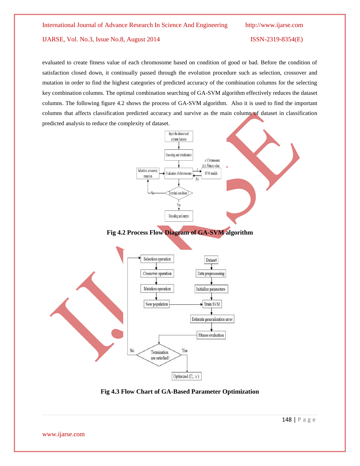evaluated to create fitness value of each chromosome based on condition of good or bad. Before the condition of satisfaction closed down, it continually passed through the evolution procedure such as selection, crossover and mutation in order to find the highest categories of predicted accuracy of the combination columns for the selecting key combination columns. The optimal combination searching of GA-SVM algorithm effectively reduces the dataset columns. The following figure 4.2 shows the process of GA-SVM algorithm. Also it is used to find the important columns that affects classification predicted accuracy and survive as the main column of dataset in classification predicted analysis to reduce the complexity of dataset.



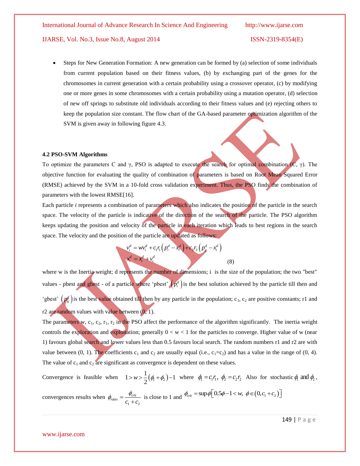Steps for New Generation Formation: A new generation can be formed by (a) selection of some individuals from current population based on their fitness values, (b) by exchanging part of the genes for the chromosomes in current generation with a certain probability using a crossover operator, (c) by modifying one or more genes in some chromosomes with a certain probability using a mutation operator, (d) selection of new off springs to substitute old individuals according to their fitness values and (e) rejecting others to keep the population size constant. The flow chart of the GA-based parameter optimization algorithm of the SVM is given away in following figure 4.3.

#### **4.2 PSO-SVM Algorithms**

To optimize the parameters C and  $\gamma$ , PSO is adapted to execute the search for optimal combination (C,  $\gamma$ ). The objective function for evaluating the quality of combination of parameters is based on Root Mean Squared Error (RMSE) achieved by the SVM in a 10-fold cross validation experiment. Thus, the PSO finds the combination of parameters with the lowest RMSE[16].

Each particle *i* represents a combination of parameters which also indicates the position of the particle in the search space. The velocity of the particle is indicative of the direction of the search of the particle. The PSO algorithm keeps updating the position and velocity of the particle in each iteration which leads to best regions in the search space. The velocity and the position of the particle are updated as follows:

$$
v_i^d = w v_i^d + c_1 r_1 (p_i^d - x_i^d) + c_2 r_2 (p_g^d - x_i^d)
$$
  

$$
x_i^d = x_i^d + v_i^d
$$
 (8)

where w is the Inertia weight; d represents the number of dimensions; i is the size of the population; the two "best" values - pbest and gbest - of a particle where 'pbest'  $(p_i^d)$  is the best solution achieved by the particle till then and 'gbest'  $(p_g^d)$  is the best value obtained till then by any particle in the population; c<sub>1</sub>, c<sub>2</sub> are positive constants; r1 and r2 are random values with value between  $(0, 1)$ .

The parameters w,  $c_1$ ,  $c_2$ ,  $r_1$ ,  $r_2$  in the PSO affect the performance of the algorithm significantly. The inertia weight controls the exploration and exploitation; generally  $0 < w < 1$  for the particles to converge. Higher value of w (near 1) favours global search and lower values less than 0.5 favours local search. The random numbers r1 and r2 are with value between (0, 1). The coefficients  $c_1$  and  $c_2$  are usually equal (i.e.,  $c_1 = c_2$ ) and has a value in the range of (0, 4). The value of  $c_1$  and  $c_2$  are significant as convergence is dependent on these values.

Convergence is feasible when  $1 > w > \frac{1}{2}(\phi_1 + \phi_2) - 1$  where  $\phi_1 = c_1 r_1$ ,  $\phi_2 = c_2 r_2$  Also for stochastic  $\phi_1$  and  $\phi_2$ ,

convergences results when 
$$
\phi_{\text{ratio}} = \frac{\phi_{\text{crit}}}{c_1 + c_2}
$$
 is close to 1 and  $\phi_{\text{crit}} = \sup \phi \left[ 0.5\phi - 1 < w, \ \phi \in (0, c_1 + c_2) \right]$ 

149 | P a g e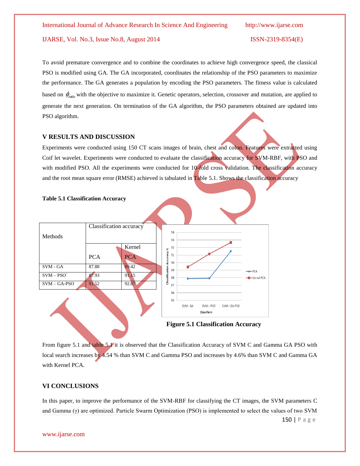To avoid premature convergence and to combine the coordinates to achieve high convergence speed, the classical PSO is modified using GA. The GA incorporated, coordinates the relationship of the PSO parameters to maximize the performance. The GA generates a population by encoding the PSO parameters. The fitness value is calculated based on  $\phi_{\text{ratio}}$  with the objective to maximize it. Genetic operators, selection, crossover and mutation, are applied to generate the next generation. On termination of the GA algorithm, the PSO parameters obtained are updated into PSO algorithm.

#### **V RESULTS AND DISCUSSION**

Experiments were conducted using 150 CT scans images of brain, chest and colon. Features were extracted using Coif let wavelet. Experiments were conducted to evaluate the classification accuracy for SVM-RBF, with PSO and with modified PSO. All the experiments were conducted for 10-fold cross validation. The classification accuracy and the root mean square error (RMSE) achieved is tabulated in Table 5.1. Shows the classification accuracy



From figure 5.1 and table 5.1 it is observed that the Classification Accuracy of SVM C and Gamma GA PSO with local search increases by 4.54 % than SVM C and Gamma PSO and increases by 4.6% than SVM C and Gamma GA with Kernel PCA.

### **VI CONCLUSIONS**

In this paper, to improve the performance of the SVM-RBF for classifying the CT images, the SVM parameters C and Gamma (γ) are optimized. Particle Swarm Optimization (PSO) is implemented to select the values of two SVM

150 | P a g e

www.ijarse.com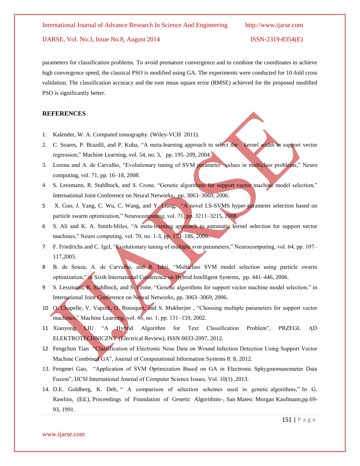parameters for classification problems. To avoid premature convergence and to combine the coordinates to achieve high convergence speed, the classical PSO is modified using GA. The experiments were conducted for 10-fold cross validation. The classification accuracy and the root mean square error (RMSE) achieved for the proposed modified PSO is significantly better.

### **REFERENCES**

- 1. Kalender, W. A. Computed tomography. (Wiley-VCH 2011).
- 2. C. Soares, P. Brazdil, and P. Kuba, "A meta-learning approach to select the kernel width in support vector regression," Machine Learning, vol. 54, no. 3, pp. 195–209, 2004.
- 3. Lorena and A. de Carvalho, "Evolutionary tuning of SVM parameter values in multiclass problems," Neuro computing, vol. 71, pp. 16–18, 2008.
- 4 S. Lessmann, R. Stahlbock, and S. Crone, "Genetic algorithms for support vector machine model selection," International Joint Conference on Neural Networks, pp. 3063–3069, 2006.
- 5 X. Guo, J. Yang, C. Wu, C. Wang, and Y. Liang, "A novel LS-SVMS hyper-parameter selection based on particle swarm optimization," Neurocomputing, vol. 71, pp. 3211-3215, 2008.
- 6 S. Ali and K. A. Smith-Miles, "A meta-learning approach to automatic kernel selection for support vector machines," Neuro computing, vol. 70, no. 1-3, pp. 173–186, 2006.
- 7 F. Friedrichs and C. Igel, "Evolutionary tuning of multiple svm parameters," Neurocomputing, vol. 64, pp. 107– 117,2005.
- 8 B. de Souza, A. de Carvalho, and R. Ishii, "Multiclass SVM model selection using particle swarm optimization," in Sixth International Conference on Hybrid Intelligent Systems, pp. 441–446, 2006.
- 9 S. Lessmann, R. Stahlbock, and S. Crone, "Genetic algorithms for support vector machine model selection," in International Joint Conference on Neural Networks, pp. 3063–3069, 2006.
- 10 O. Chapelle, V. Vapnik, O. Bousquet, and S. Mukherjee , "Choosing multiple parameters for support vector machines," Machine Learning, vol. 46, no. 1, pp. 131–159, 2002.
- 11 Xiaoyong LIU "A Hybrid Algorithm for Text Classification Problem", PRZEGL ĄD ELEKTROTECHNICZNY (Electrical Review), ISSN 0033-2097, 2012.
- 12 Fengchun Tian "Classification of Electronic Nose Data on Wound Infection Detection Using Support Vector Machine Combined GA", Journal of Computational Information Systems 8: 8, 2012.
- 13. Fengmei Gao, "Application of SVM Optimization Based on GA in Electronic Sphygmomanometer Data Fusion", IJCSI International Journal of Computer Science Issues, Vol. 10(1) ,2013.
- 14. D.E. Goldberg, K. Deb, " A comparison of selection schemes used in genetic algorithms," In G. Rawlins, (Ed.), Proceedings of Foundation of Genetic Algorithms-, San Mateo: Morgan Kaufmann,pp.69- 93, 1991.